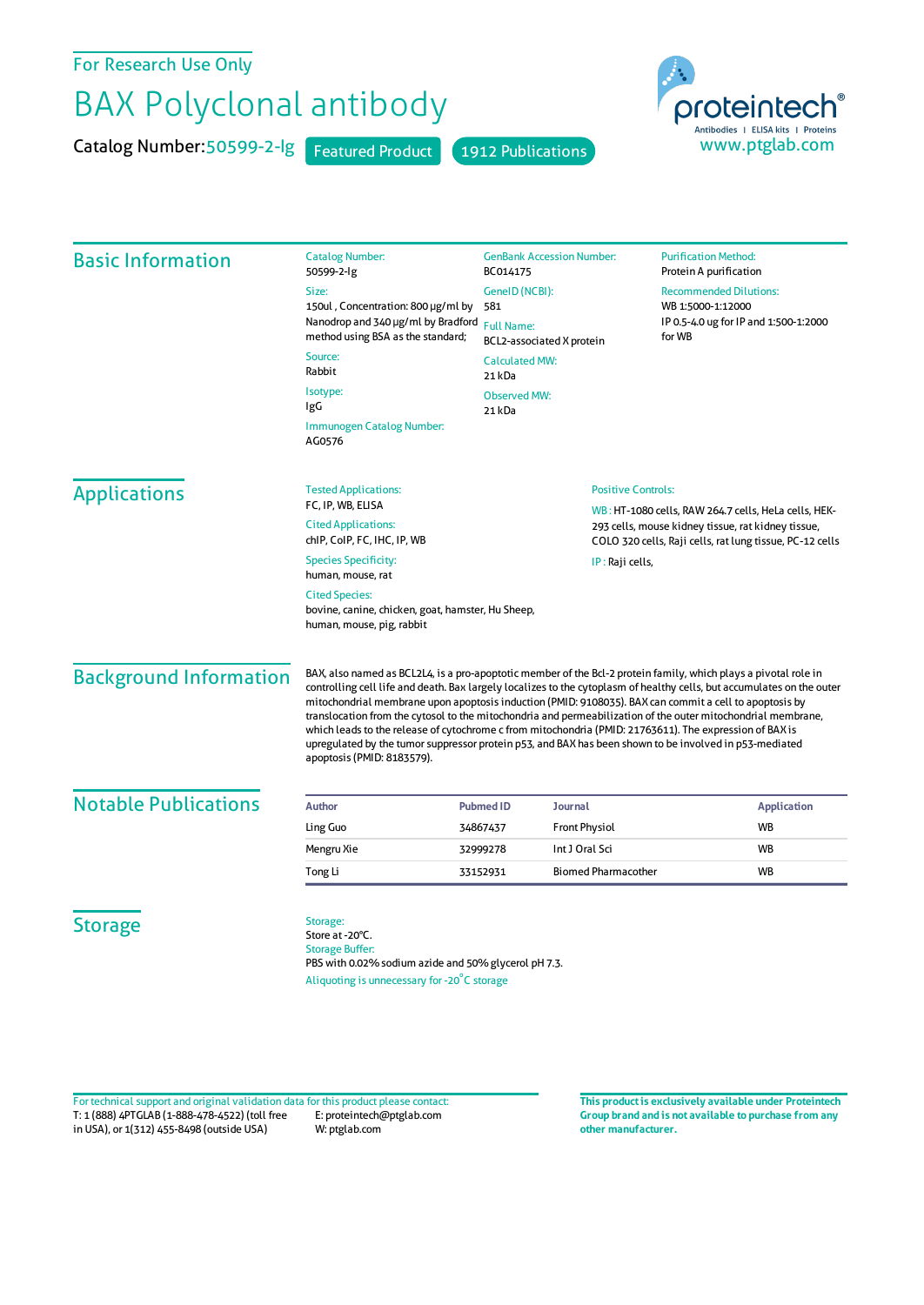## For Research Use Only

## BAX Polyclonal antibody

Catalog Number: 50599-2-Ig Featured Product 1912 Publications



| <b>Basic Information</b>      | <b>Catalog Number:</b><br>50599-2-lg                                                                                                                                                                                                                                                                                                                                                                                                                                      | <b>GenBank Accession Number:</b><br>BC014175<br>GenelD (NCBI):<br>581<br><b>Full Name:</b><br>BCL2-associated X protein<br><b>Calculated MW:</b><br>21 kDa<br><b>Observed MW:</b><br>21 kDa |                            | <b>Purification Method:</b><br>Protein A purification                                                                                                                                                                                     |  |
|-------------------------------|---------------------------------------------------------------------------------------------------------------------------------------------------------------------------------------------------------------------------------------------------------------------------------------------------------------------------------------------------------------------------------------------------------------------------------------------------------------------------|---------------------------------------------------------------------------------------------------------------------------------------------------------------------------------------------|----------------------------|-------------------------------------------------------------------------------------------------------------------------------------------------------------------------------------------------------------------------------------------|--|
|                               | Size:<br>150ul, Concentration: 800 µg/ml by<br>Nanodrop and 340 µg/ml by Bradford                                                                                                                                                                                                                                                                                                                                                                                         |                                                                                                                                                                                             |                            | <b>Recommended Dilutions:</b><br>WB 1:5000-1:12000<br>IP 0.5-4.0 ug for IP and 1:500-1:2000<br>for WB                                                                                                                                     |  |
|                               | method using BSA as the standard;<br>Source:<br>Rabbit                                                                                                                                                                                                                                                                                                                                                                                                                    |                                                                                                                                                                                             |                            |                                                                                                                                                                                                                                           |  |
|                               | Isotype:<br>IgG                                                                                                                                                                                                                                                                                                                                                                                                                                                           |                                                                                                                                                                                             |                            |                                                                                                                                                                                                                                           |  |
|                               | Immunogen Catalog Number:<br>AG0576                                                                                                                                                                                                                                                                                                                                                                                                                                       |                                                                                                                                                                                             |                            |                                                                                                                                                                                                                                           |  |
| <b>Applications</b>           | <b>Tested Applications:</b>                                                                                                                                                                                                                                                                                                                                                                                                                                               |                                                                                                                                                                                             | <b>Positive Controls:</b>  |                                                                                                                                                                                                                                           |  |
|                               | FC, IP, WB, ELISA<br><b>Cited Applications:</b><br>chip, Colp, FC, IHC, IP, WB                                                                                                                                                                                                                                                                                                                                                                                            |                                                                                                                                                                                             |                            | WB: HT-1080 cells, RAW 264.7 cells, HeLa cells, HEK-<br>293 cells, mouse kidney tissue, rat kidney tissue,<br>COLO 320 cells, Raji cells, rat lung tissue, PC-12 cells                                                                    |  |
|                               | <b>Species Specificity:</b><br>human, mouse, rat                                                                                                                                                                                                                                                                                                                                                                                                                          | IP: Raji cells,                                                                                                                                                                             |                            |                                                                                                                                                                                                                                           |  |
|                               | <b>Cited Species:</b><br>bovine, canine, chicken, goat, hamster, Hu Sheep,<br>human, mouse, pig, rabbit                                                                                                                                                                                                                                                                                                                                                                   |                                                                                                                                                                                             |                            |                                                                                                                                                                                                                                           |  |
| <b>Background Information</b> | mitochondrial membrane upon apoptosis induction (PMID: 9108035). BAX can commit a cell to apoptosis by<br>translocation from the cytosol to the mitochondria and permeabilization of the outer mitochondrial membrane,<br>which leads to the release of cytochrome c from mitochondria (PMID: 21763611). The expression of BAX is<br>upregulated by the tumor suppressor protein p53, and BAX has been shown to be involved in p53-mediated<br>apoptosis (PMID: 8183579). |                                                                                                                                                                                             |                            | BAX, also named as BCL2L4, is a pro-apoptotic member of the Bcl-2 protein family, which plays a pivotal role in<br>controlling cell life and death. Bax largely localizes to the cytoplasm of healthy cells, but accumulates on the outer |  |
| <b>Notable Publications</b>   | <b>Author</b>                                                                                                                                                                                                                                                                                                                                                                                                                                                             | <b>Pubmed ID</b><br><b>Journal</b>                                                                                                                                                          |                            | <b>Application</b>                                                                                                                                                                                                                        |  |
|                               | Ling Guo                                                                                                                                                                                                                                                                                                                                                                                                                                                                  | <b>Front Physiol</b><br>34867437                                                                                                                                                            |                            | WB                                                                                                                                                                                                                                        |  |
|                               | Mengru Xie                                                                                                                                                                                                                                                                                                                                                                                                                                                                | Int J Oral Sci<br>32999278                                                                                                                                                                  |                            | WB                                                                                                                                                                                                                                        |  |
|                               | Tong Li                                                                                                                                                                                                                                                                                                                                                                                                                                                                   | 33152931                                                                                                                                                                                    | <b>Biomed Pharmacother</b> | WB                                                                                                                                                                                                                                        |  |
| <b>Storage</b>                | Storage:<br>Store at -20°C.<br>Storage Buffer                                                                                                                                                                                                                                                                                                                                                                                                                             |                                                                                                                                                                                             |                            |                                                                                                                                                                                                                                           |  |

Storage Buffer: PBS with 0.02% sodium azide and 50% glycerol pH 7.3. Aliquoting is unnecessary for -20<sup>°</sup>C storage

T: 1 (888) 4PTGLAB (1-888-478-4522) (toll free in USA), or 1(312) 455-8498 (outside USA) E: proteintech@ptglab.com W: ptglab.com Fortechnical support and original validation data forthis product please contact: **This productis exclusively available under Proteintech**

**Group brand and is not available to purchase from any other manufacturer.**